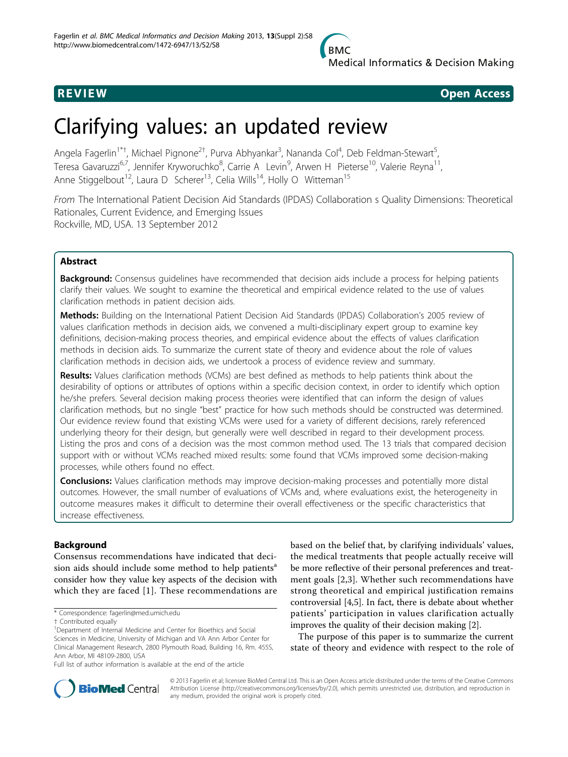

**REVIEW REVIEW CONSTRUCTER ACCESS** 

# Clarifying values: an updated review

Angela Fagerlin<sup>1\*†</sup>, Michael Pignone<sup>2†</sup>, Purva Abhyankar<sup>3</sup>, Nananda Col<sup>4</sup>, Deb Feldman-Stewart<sup>5</sup> , Teresa Gavaruzzi<sup>6,7</sup>, Jennifer Kryworuchko<sup>8</sup>, Carrie A Levin<sup>9</sup>, Arwen H Pieterse<sup>10</sup>, Valerie Reyna<sup>11</sup>, Anne Stiggelbout<sup>12</sup>, Laura D Scherer<sup>13</sup>, Celia Wills<sup>14</sup>, Holly O Witteman<sup>15</sup>

From The International Patient Decision Aid Standards (IPDAS) Collaboration s Quality Dimensions: Theoretical Rationales, Current Evidence, and Emerging Issues Rockville, MD, USA. 13 September 2012

# Abstract

Background: Consensus quidelines have recommended that decision aids include a process for helping patients clarify their values. We sought to examine the theoretical and empirical evidence related to the use of values clarification methods in patient decision aids.

Methods: Building on the International Patient Decision Aid Standards (IPDAS) Collaboration's 2005 review of values clarification methods in decision aids, we convened a multi-disciplinary expert group to examine key definitions, decision-making process theories, and empirical evidence about the effects of values clarification methods in decision aids. To summarize the current state of theory and evidence about the role of values clarification methods in decision aids, we undertook a process of evidence review and summary.

Results: Values clarification methods (VCMs) are best defined as methods to help patients think about the desirability of options or attributes of options within a specific decision context, in order to identify which option he/she prefers. Several decision making process theories were identified that can inform the design of values clarification methods, but no single "best" practice for how such methods should be constructed was determined. Our evidence review found that existing VCMs were used for a variety of different decisions, rarely referenced underlying theory for their design, but generally were well described in regard to their development process. Listing the pros and cons of a decision was the most common method used. The 13 trials that compared decision support with or without VCMs reached mixed results: some found that VCMs improved some decision-making processes, while others found no effect.

Conclusions: Values clarification methods may improve decision-making processes and potentially more distal outcomes. However, the small number of evaluations of VCMs and, where evaluations exist, the heterogeneity in outcome measures makes it difficult to determine their overall effectiveness or the specific characteristics that increase effectiveness.

# Background

Consensus recommendations have indicated that decision aids should include some method to help patients<sup>a</sup> consider how they value key aspects of the decision with which they are faced [[1](#page-6-0)]. These recommendations are based on the belief that, by clarifying individuals' values, the medical treatments that people actually receive will be more reflective of their personal preferences and treatment goals [[2,3\]](#page-6-0). Whether such recommendations have strong theoretical and empirical justification remains controversial [[4,5](#page-6-0)]. In fact, there is debate about whether patients' participation in values clarification actually improves the quality of their decision making [[2\]](#page-6-0).

The purpose of this paper is to summarize the current state of theory and evidence with respect to the role of



© 2013 Fagerlin et al; licensee BioMed Central Ltd. This is an Open Access article distributed under the terms of the Creative Commons Attribution License [\(http://creativecommons.org/licenses/by/2.0](http://creativecommons.org/licenses/by/2.0)), which permits unrestricted use, distribution, and reproduction in any medium, provided the original work is properly cited.

<sup>\*</sup> Correspondence: [fagerlin@med.umich.edu](mailto:fagerlin@med.umich.edu)

<sup>†</sup> Contributed equally <sup>1</sup>

<sup>&</sup>lt;sup>1</sup>Department of Internal Medicine and Center for Bioethics and Social Sciences in Medicine, University of Michigan and VA Ann Arbor Center for Clinical Management Research, 2800 Plymouth Road, Building 16, Rm. 455S, Ann Arbor, MI 48109-2800, USA

Full list of author information is available at the end of the article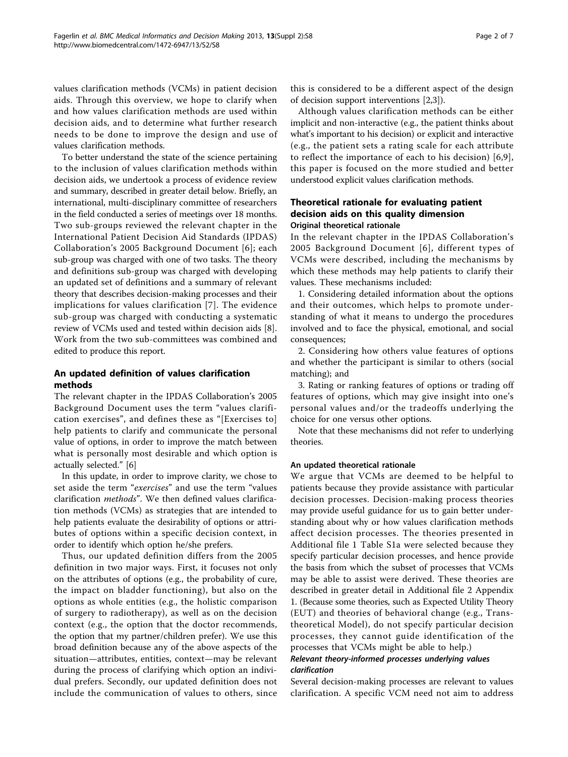values clarification methods (VCMs) in patient decision aids. Through this overview, we hope to clarify when and how values clarification methods are used within decision aids, and to determine what further research needs to be done to improve the design and use of values clarification methods.

To better understand the state of the science pertaining to the inclusion of values clarification methods within decision aids, we undertook a process of evidence review and summary, described in greater detail below. Briefly, an international, multi-disciplinary committee of researchers in the field conducted a series of meetings over 18 months. Two sub-groups reviewed the relevant chapter in the International Patient Decision Aid Standards (IPDAS) Collaboration's 2005 Background Document [[6](#page-6-0)]; each sub-group was charged with one of two tasks. The theory and definitions sub-group was charged with developing an updated set of definitions and a summary of relevant theory that describes decision-making processes and their implications for values clarification [\[7\]](#page-6-0). The evidence sub-group was charged with conducting a systematic review of VCMs used and tested within decision aids [\[8](#page-6-0)]. Work from the two sub-committees was combined and edited to produce this report.

# An updated definition of values clarification methods

The relevant chapter in the IPDAS Collaboration's 2005 Background Document uses the term "values clarification exercises", and defines these as "[Exercises to] help patients to clarify and communicate the personal value of options, in order to improve the match between what is personally most desirable and which option is actually selected." [\[6](#page-6-0)]

In this update, in order to improve clarity, we chose to set aside the term "exercises" and use the term "values clarification methods". We then defined values clarification methods (VCMs) as strategies that are intended to help patients evaluate the desirability of options or attributes of options within a specific decision context, in order to identify which option he/she prefers.

Thus, our updated definition differs from the 2005 definition in two major ways. First, it focuses not only on the attributes of options (e.g., the probability of cure, the impact on bladder functioning), but also on the options as whole entities (e.g., the holistic comparison of surgery to radiotherapy), as well as on the decision context (e.g., the option that the doctor recommends, the option that my partner/children prefer). We use this broad definition because any of the above aspects of the situation—attributes, entities, context—may be relevant during the process of clarifying which option an individual prefers. Secondly, our updated definition does not include the communication of values to others, since

this is considered to be a different aspect of the design of decision support interventions [[2,3\]](#page-6-0)).

Although values clarification methods can be either implicit and non-interactive (e.g., the patient thinks about what's important to his decision) or explicit and interactive (e.g., the patient sets a rating scale for each attribute to reflect the importance of each to his decision) [\[6,9](#page-6-0)], this paper is focused on the more studied and better understood explicit values clarification methods.

# Theoretical rationale for evaluating patient decision aids on this quality dimension Original theoretical rationale

In the relevant chapter in the IPDAS Collaboration's 2005 Background Document [[6\]](#page-6-0), different types of VCMs were described, including the mechanisms by which these methods may help patients to clarify their values. These mechanisms included:

1. Considering detailed information about the options and their outcomes, which helps to promote understanding of what it means to undergo the procedures involved and to face the physical, emotional, and social consequences;

2. Considering how others value features of options and whether the participant is similar to others (social matching); and

3. Rating or ranking features of options or trading off features of options, which may give insight into one's personal values and/or the tradeoffs underlying the choice for one versus other options.

Note that these mechanisms did not refer to underlying theories.

# An updated theoretical rationale

We argue that VCMs are deemed to be helpful to patients because they provide assistance with particular decision processes. Decision-making process theories may provide useful guidance for us to gain better understanding about why or how values clarification methods affect decision processes. The theories presented in Additional file [1](#page-5-0) Table S1a were selected because they specify particular decision processes, and hence provide the basis from which the subset of processes that VCMs may be able to assist were derived. These theories are described in greater detail in Additional file [2](#page-5-0) Appendix 1. (Because some theories, such as Expected Utility Theory (EUT) and theories of behavioral change (e.g., Transtheoretical Model), do not specify particular decision processes, they cannot guide identification of the processes that VCMs might be able to help.)

# Relevant theory-informed processes underlying values clarification

Several decision-making processes are relevant to values clarification. A specific VCM need not aim to address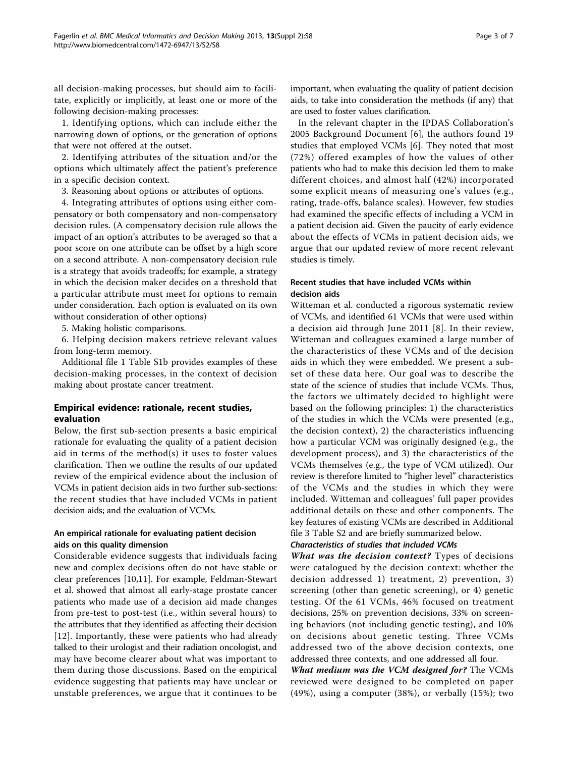all decision-making processes, but should aim to facilitate, explicitly or implicitly, at least one or more of the following decision-making processes:

1. Identifying options, which can include either the narrowing down of options, or the generation of options that were not offered at the outset.

2. Identifying attributes of the situation and/or the options which ultimately affect the patient's preference in a specific decision context.

3. Reasoning about options or attributes of options.

4. Integrating attributes of options using either compensatory or both compensatory and non-compensatory decision rules. (A compensatory decision rule allows the impact of an option's attributes to be averaged so that a poor score on one attribute can be offset by a high score on a second attribute. A non-compensatory decision rule is a strategy that avoids tradeoffs; for example, a strategy in which the decision maker decides on a threshold that a particular attribute must meet for options to remain under consideration. Each option is evaluated on its own without consideration of other options)

5. Making holistic comparisons.

6. Helping decision makers retrieve relevant values from long-term memory.

Additional file [1](#page-5-0) Table S1b provides examples of these decision-making processes, in the context of decision making about prostate cancer treatment.

# Empirical evidence: rationale, recent studies, evaluation

Below, the first sub-section presents a basic empirical rationale for evaluating the quality of a patient decision aid in terms of the method(s) it uses to foster values clarification. Then we outline the results of our updated review of the empirical evidence about the inclusion of VCMs in patient decision aids in two further sub-sections: the recent studies that have included VCMs in patient decision aids; and the evaluation of VCMs.

# An empirical rationale for evaluating patient decision aids on this quality dimension

Considerable evidence suggests that individuals facing new and complex decisions often do not have stable or clear preferences [\[10,11\]](#page-6-0). For example, Feldman-Stewart et al. showed that almost all early-stage prostate cancer patients who made use of a decision aid made changes from pre-test to post-test (i.e., within several hours) to the attributes that they identified as affecting their decision [[12](#page-6-0)]. Importantly, these were patients who had already talked to their urologist and their radiation oncologist, and may have become clearer about what was important to them during those discussions. Based on the empirical evidence suggesting that patients may have unclear or unstable preferences, we argue that it continues to be important, when evaluating the quality of patient decision aids, to take into consideration the methods (if any) that are used to foster values clarification.

In the relevant chapter in the IPDAS Collaboration's 2005 Background Document [[6\]](#page-6-0), the authors found 19 studies that employed VCMs [\[6](#page-6-0)]. They noted that most (72%) offered examples of how the values of other patients who had to make this decision led them to make different choices, and almost half (42%) incorporated some explicit means of measuring one's values (e.g., rating, trade-offs, balance scales). However, few studies had examined the specific effects of including a VCM in a patient decision aid. Given the paucity of early evidence about the effects of VCMs in patient decision aids, we argue that our updated review of more recent relevant studies is timely.

# Recent studies that have included VCMs within decision aids

Witteman et al. conducted a rigorous systematic review of VCMs, and identified 61 VCMs that were used within a decision aid through June 2011 [[8](#page-6-0)]. In their review, Witteman and colleagues examined a large number of the characteristics of these VCMs and of the decision aids in which they were embedded. We present a subset of these data here. Our goal was to describe the state of the science of studies that include VCMs. Thus, the factors we ultimately decided to highlight were based on the following principles: 1) the characteristics of the studies in which the VCMs were presented (e.g., the decision context), 2) the characteristics influencing how a particular VCM was originally designed (e.g., the development process), and 3) the characteristics of the VCMs themselves (e.g., the type of VCM utilized). Our review is therefore limited to "higher level" characteristics of the VCMs and the studies in which they were included. Witteman and colleagues' full paper provides additional details on these and other components. The key features of existing VCMs are described in Additional file [3](#page-5-0) Table S2 and are briefly summarized below.

# Characteristics of studies that included VCMs

What was the decision context? Types of decisions were catalogued by the decision context: whether the decision addressed 1) treatment, 2) prevention, 3) screening (other than genetic screening), or 4) genetic testing. Of the 61 VCMs, 46% focused on treatment decisions, 25% on prevention decisions, 33% on screening behaviors (not including genetic testing), and 10% on decisions about genetic testing. Three VCMs addressed two of the above decision contexts, one addressed three contexts, and one addressed all four.

What medium was the VCM designed for? The VCMs reviewed were designed to be completed on paper (49%), using a computer (38%), or verbally (15%); two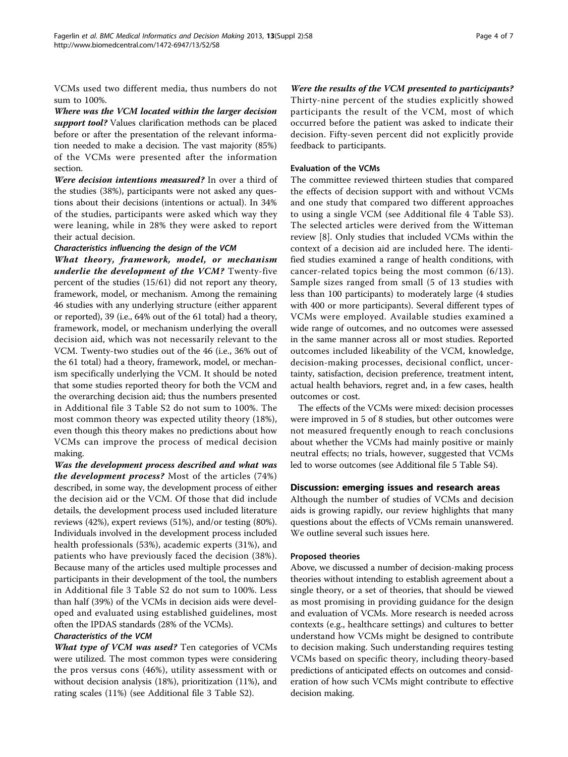VCMs used two different media, thus numbers do not sum to 100%.

Where was the VCM located within the larger decision support tool? Values clarification methods can be placed before or after the presentation of the relevant information needed to make a decision. The vast majority (85%) of the VCMs were presented after the information section.

Were decision intentions measured? In over a third of the studies (38%), participants were not asked any questions about their decisions (intentions or actual). In 34% of the studies, participants were asked which way they were leaning, while in 28% they were asked to report their actual decision.

#### Characteristics influencing the design of the VCM

What theory, framework, model, or mechanism underlie the development of the VCM? Twenty-five percent of the studies (15/61) did not report any theory, framework, model, or mechanism. Among the remaining 46 studies with any underlying structure (either apparent or reported), 39 (i.e., 64% out of the 61 total) had a theory, framework, model, or mechanism underlying the overall decision aid, which was not necessarily relevant to the VCM. Twenty-two studies out of the 46 (i.e., 36% out of the 61 total) had a theory, framework, model, or mechanism specifically underlying the VCM. It should be noted that some studies reported theory for both the VCM and the overarching decision aid; thus the numbers presented in Additional file [3](#page-5-0) Table S2 do not sum to 100%. The most common theory was expected utility theory (18%), even though this theory makes no predictions about how VCMs can improve the process of medical decision making.

Was the development process described and what was the development process? Most of the articles (74%) described, in some way, the development process of either the decision aid or the VCM. Of those that did include details, the development process used included literature reviews (42%), expert reviews (51%), and/or testing (80%). Individuals involved in the development process included health professionals (53%), academic experts (31%), and patients who have previously faced the decision (38%). Because many of the articles used multiple processes and participants in their development of the tool, the numbers in Additional file [3](#page-5-0) Table S2 do not sum to 100%. Less than half (39%) of the VCMs in decision aids were developed and evaluated using established guidelines, most often the IPDAS standards (28% of the VCMs).

# Characteristics of the VCM

What type of VCM was used? Ten categories of VCMs were utilized. The most common types were considering the pros versus cons (46%), utility assessment with or without decision analysis (18%), prioritization (11%), and rating scales (11%) (see Additional file [3](#page-5-0) Table S2).

Were the results of the VCM presented to participants? Thirty-nine percent of the studies explicitly showed participants the result of the VCM, most of which occurred before the patient was asked to indicate their decision. Fifty-seven percent did not explicitly provide feedback to participants.

# Evaluation of the VCMs

The committee reviewed thirteen studies that compared the effects of decision support with and without VCMs and one study that compared two different approaches to using a single VCM (see Additional file [4](#page-5-0) Table S3). The selected articles were derived from the Witteman review [[8](#page-6-0)]. Only studies that included VCMs within the context of a decision aid are included here. The identified studies examined a range of health conditions, with cancer-related topics being the most common (6/13). Sample sizes ranged from small (5 of 13 studies with less than 100 participants) to moderately large (4 studies with 400 or more participants). Several different types of VCMs were employed. Available studies examined a wide range of outcomes, and no outcomes were assessed in the same manner across all or most studies. Reported outcomes included likeability of the VCM, knowledge, decision-making processes, decisional conflict, uncertainty, satisfaction, decision preference, treatment intent, actual health behaviors, regret and, in a few cases, health outcomes or cost.

The effects of the VCMs were mixed: decision processes were improved in 5 of 8 studies, but other outcomes were not measured frequently enough to reach conclusions about whether the VCMs had mainly positive or mainly neutral effects; no trials, however, suggested that VCMs led to worse outcomes (see Additional file [5](#page-5-0) Table S4).

# Discussion: emerging issues and research areas

Although the number of studies of VCMs and decision aids is growing rapidly, our review highlights that many questions about the effects of VCMs remain unanswered. We outline several such issues here.

#### Proposed theories

Above, we discussed a number of decision-making process theories without intending to establish agreement about a single theory, or a set of theories, that should be viewed as most promising in providing guidance for the design and evaluation of VCMs. More research is needed across contexts (e.g., healthcare settings) and cultures to better understand how VCMs might be designed to contribute to decision making. Such understanding requires testing VCMs based on specific theory, including theory-based predictions of anticipated effects on outcomes and consideration of how such VCMs might contribute to effective decision making.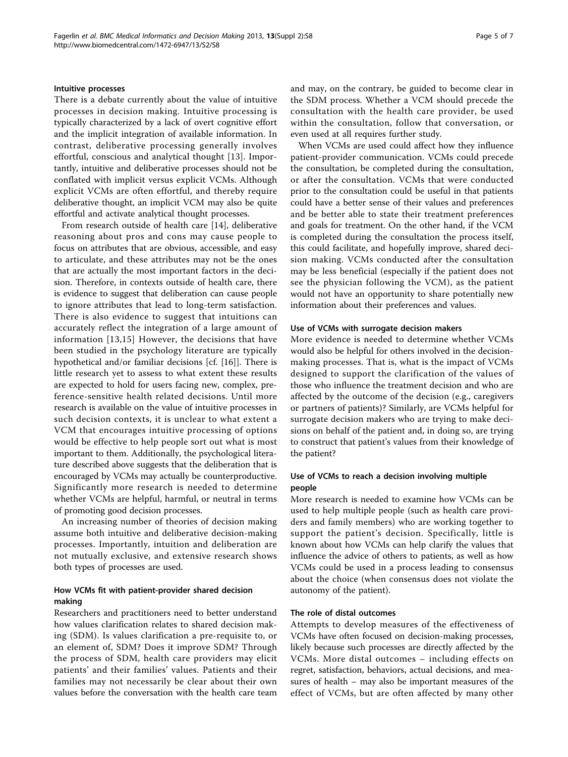#### Intuitive processes

There is a debate currently about the value of intuitive processes in decision making. Intuitive processing is typically characterized by a lack of overt cognitive effort and the implicit integration of available information. In contrast, deliberative processing generally involves effortful, conscious and analytical thought [[13\]](#page-6-0). Importantly, intuitive and deliberative processes should not be conflated with implicit versus explicit VCMs. Although explicit VCMs are often effortful, and thereby require deliberative thought, an implicit VCM may also be quite effortful and activate analytical thought processes.

From research outside of health care [[14](#page-6-0)], deliberative reasoning about pros and cons may cause people to focus on attributes that are obvious, accessible, and easy to articulate, and these attributes may not be the ones that are actually the most important factors in the decision. Therefore, in contexts outside of health care, there is evidence to suggest that deliberation can cause people to ignore attributes that lead to long-term satisfaction. There is also evidence to suggest that intuitions can accurately reflect the integration of a large amount of information [[13,15](#page-6-0)] However, the decisions that have been studied in the psychology literature are typically hypothetical and/or familiar decisions [cf. [[16\]](#page-6-0)]. There is little research yet to assess to what extent these results are expected to hold for users facing new, complex, preference-sensitive health related decisions. Until more research is available on the value of intuitive processes in such decision contexts, it is unclear to what extent a VCM that encourages intuitive processing of options would be effective to help people sort out what is most important to them. Additionally, the psychological literature described above suggests that the deliberation that is encouraged by VCMs may actually be counterproductive. Significantly more research is needed to determine whether VCMs are helpful, harmful, or neutral in terms of promoting good decision processes.

An increasing number of theories of decision making assume both intuitive and deliberative decision-making processes. Importantly, intuition and deliberation are not mutually exclusive, and extensive research shows both types of processes are used.

# How VCMs fit with patient-provider shared decision making

Researchers and practitioners need to better understand how values clarification relates to shared decision making (SDM). Is values clarification a pre-requisite to, or an element of, SDM? Does it improve SDM? Through the process of SDM, health care providers may elicit patients' and their families' values. Patients and their families may not necessarily be clear about their own values before the conversation with the health care team and may, on the contrary, be guided to become clear in the SDM process. Whether a VCM should precede the consultation with the health care provider, be used within the consultation, follow that conversation, or even used at all requires further study.

When VCMs are used could affect how they influence patient-provider communication. VCMs could precede the consultation, be completed during the consultation, or after the consultation. VCMs that were conducted prior to the consultation could be useful in that patients could have a better sense of their values and preferences and be better able to state their treatment preferences and goals for treatment. On the other hand, if the VCM is completed during the consultation the process itself, this could facilitate, and hopefully improve, shared decision making. VCMs conducted after the consultation may be less beneficial (especially if the patient does not see the physician following the VCM), as the patient would not have an opportunity to share potentially new information about their preferences and values.

#### Use of VCMs with surrogate decision makers

More evidence is needed to determine whether VCMs would also be helpful for others involved in the decisionmaking processes. That is, what is the impact of VCMs designed to support the clarification of the values of those who influence the treatment decision and who are affected by the outcome of the decision (e.g., caregivers or partners of patients)? Similarly, are VCMs helpful for surrogate decision makers who are trying to make decisions on behalf of the patient and, in doing so, are trying to construct that patient's values from their knowledge of the patient?

#### Use of VCMs to reach a decision involving multiple people

More research is needed to examine how VCMs can be used to help multiple people (such as health care providers and family members) who are working together to support the patient's decision. Specifically, little is known about how VCMs can help clarify the values that influence the advice of others to patients, as well as how VCMs could be used in a process leading to consensus about the choice (when consensus does not violate the autonomy of the patient).

#### The role of distal outcomes

Attempts to develop measures of the effectiveness of VCMs have often focused on decision-making processes, likely because such processes are directly affected by the VCMs. More distal outcomes – including effects on regret, satisfaction, behaviors, actual decisions, and measures of health – may also be important measures of the effect of VCMs, but are often affected by many other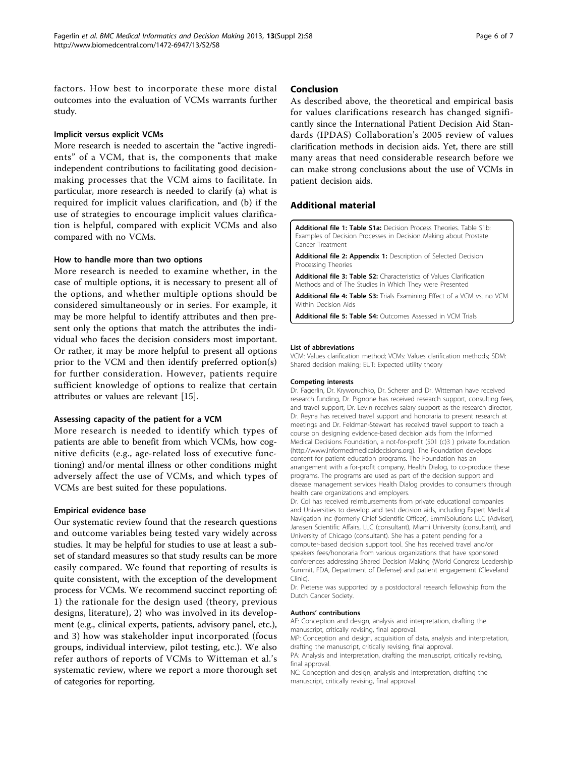<span id="page-5-0"></span>factors. How best to incorporate these more distal outcomes into the evaluation of VCMs warrants further study.

#### Implicit versus explicit VCMs

More research is needed to ascertain the "active ingredients" of a VCM, that is, the components that make independent contributions to facilitating good decisionmaking processes that the VCM aims to facilitate. In particular, more research is needed to clarify (a) what is required for implicit values clarification, and (b) if the use of strategies to encourage implicit values clarification is helpful, compared with explicit VCMs and also compared with no VCMs.

#### How to handle more than two options

More research is needed to examine whether, in the case of multiple options, it is necessary to present all of the options, and whether multiple options should be considered simultaneously or in series. For example, it may be more helpful to identify attributes and then present only the options that match the attributes the individual who faces the decision considers most important. Or rather, it may be more helpful to present all options prior to the VCM and then identify preferred option(s) for further consideration. However, patients require sufficient knowledge of options to realize that certain attributes or values are relevant [[15\]](#page-6-0).

# Assessing capacity of the patient for a VCM

More research is needed to identify which types of patients are able to benefit from which VCMs, how cognitive deficits (e.g., age-related loss of executive functioning) and/or mental illness or other conditions might adversely affect the use of VCMs, and which types of VCMs are best suited for these populations.

# Empirical evidence base

Our systematic review found that the research questions and outcome variables being tested vary widely across studies. It may be helpful for studies to use at least a subset of standard measures so that study results can be more easily compared. We found that reporting of results is quite consistent, with the exception of the development process for VCMs. We recommend succinct reporting of: 1) the rationale for the design used (theory, previous designs, literature), 2) who was involved in its development (e.g., clinical experts, patients, advisory panel, etc.), and 3) how was stakeholder input incorporated (focus groups, individual interview, pilot testing, etc.). We also refer authors of reports of VCMs to Witteman et al.'s systematic review, where we report a more thorough set of categories for reporting.

#### Conclusion

As described above, the theoretical and empirical basis for values clarifications research has changed significantly since the International Patient Decision Aid Standards (IPDAS) Collaboration's 2005 review of values clarification methods in decision aids. Yet, there are still many areas that need considerable research before we can make strong conclusions about the use of VCMs in patient decision aids.

# Additional material

[Additional file 1: T](http://www.biomedcentral.com/content/supplementary/1472-6947-13-S2-S8-S1.pdf)able S1a: Decision Process Theories. Table S1b: Examples of Decision Processes in Decision Making about Prostate Cancer Treatment

[Additional file 2: A](http://www.biomedcentral.com/content/supplementary/1472-6947-13-S2-S8-S2.pdf)ppendix 1: Description of Selected Decision Processing Theories

[Additional file 3: T](http://www.biomedcentral.com/content/supplementary/1472-6947-13-S2-S8-S3.pdf)able S2: Characteristics of Values Clarification Methods and of The Studies in Which They were Presented

[Additional file 4: T](http://www.biomedcentral.com/content/supplementary/1472-6947-13-S2-S8-S4.pdf)able S3: Trials Examining Effect of a VCM vs. no VCM Within Decision Aids

[Additional file 5: T](http://www.biomedcentral.com/content/supplementary/1472-6947-13-S2-S8-S5.pdf)able S4: Outcomes Assessed in VCM Trials

#### List of abbreviations

VCM: Values clarification method; VCMs: Values clarification methods; SDM: Shared decision making; EUT: Expected utility theory

#### Competing interests

Dr. Fagerlin, Dr. Kryworuchko, Dr. Scherer and Dr. Witteman have received research funding, Dr. Pignone has received research support, consulting fees, and travel support, Dr. Levin receives salary support as the research director, Dr. Reyna has received travel support and honoraria to present research at meetings and Dr. Feldman-Stewart has received travel support to teach a course on designing evidence-based decision aids from the Informed Medical Decisions Foundation, a not-for-profit (501 (c)3 ) private foundation ([http://www.informedmedicaldecisions.org\)](http://www.informedmedicaldecisions.org). The Foundation develops content for patient education programs. The Foundation has an arrangement with a for-profit company, Health Dialog, to co-produce these programs. The programs are used as part of the decision support and disease management services Health Dialog provides to consumers through health care organizations and employers.

Dr. Col has received reimbursements from private educational companies and Universities to develop and test decision aids, including Expert Medical Navigation Inc (formerly Chief Scientific Officer), EmmiSolutions LLC (Adviser), Janssen Scientific Affairs, LLC (consultant), Miami University (consultant), and University of Chicago (consultant). She has a patent pending for a computer-based decision support tool. She has received travel and/or speakers fees/honoraria from various organizations that have sponsored conferences addressing Shared Decision Making (World Congress Leadership Summit, FDA, Department of Defense) and patient engagement (Cleveland Clinic).

Dr. Pieterse was supported by a postdoctoral research fellowship from the Dutch Cancer Society.

#### Authors' contributions

AF: Conception and design, analysis and interpretation, drafting the manuscript, critically revising, final approval.

MP: Conception and design, acquisition of data, analysis and interpretation, drafting the manuscript, critically revising, final approval.

PA: Analysis and interpretation, drafting the manuscript, critically revising, final approval.

NC: Conception and design, analysis and interpretation, drafting the manuscript, critically revising, final approval.